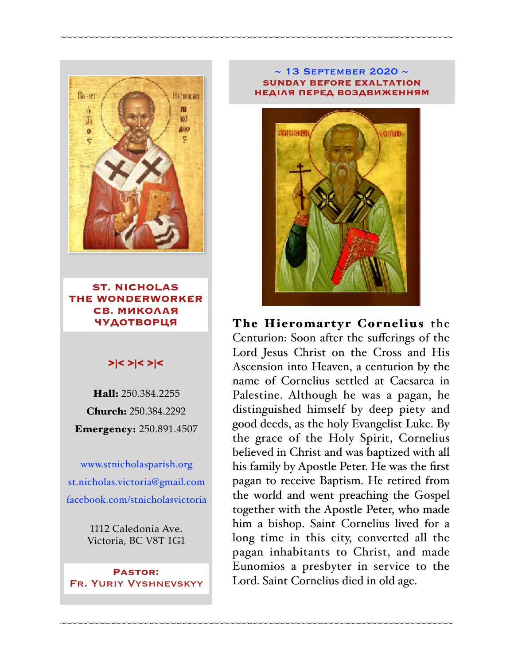

**ST. NICHOLAS THE WONDERWORKER СВ. МИКОЛАЯ ЧУДОТВОРЦЯ**

### >|< >|< >|<

Hall: 250.384.2255 Church: 250.384.2292 Emergency: 250.891.4507

[www.stnicholasparish.org](http://www.stnicholasparish.org) [st.nicholas.victoria@gmail.com](mailto:st.nicholas.victoria@gmail.com) [facebook.com/stnicholasvictoria](http://facebook.com/stnicholasvictoria)

> 1112 Caledonia Ave. Victoria, BC V8T 1G1

**Pastor:**  Fr. Yuriy Vyshnevskyy

#### ~ 13 September 2020 ~ **SUNDAY BEFORE EXALTATION НЕДІЛЯ ПЕРЕД ВОЗДВИЖЕННЯМ**

~~~~~~~~~~~~~~~~~~~~~~~~~~~~~~~~~~~~~~~~~~~~~~~~~~~~~~~~~~~~~~~~~~~~~~~~

~~~~~~~~~~~~~~~~~~~~~~~~~~~~~~~~~~~~~~~~~~~~~~~~~~~~~~~~~~~~~~~~~~~~~~~~



The Hieromartyr Cornelius the Centurion: Soon after the sufferings of the Lord Jesus Christ on the Cross and His Ascension into Heaven, a centurion by the name of Cornelius settled at Caesarea in Palestine. Although he was a pagan, he distinguished himself by deep piety and good deeds, as the holy Evangelist Luke. By the grace of the Holy Spirit, Cornelius believed in Christ and was baptized with all his family by Apostle Peter. He was the first pagan to receive Baptism. He retired from the world and went preaching the Gospel together with the Apostle Peter, who made him a bishop. Saint Cornelius lived for a long time in this city, converted all the pagan inhabitants to Christ, and made Eunomios a presbyter in service to the Lord. Saint Cornelius died in old age.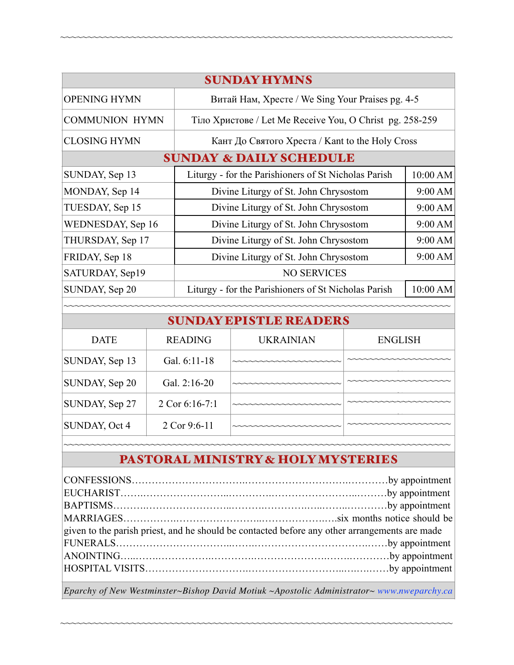| <b>SUNDAY HYMNS</b>                |                                                          |          |  |  |
|------------------------------------|----------------------------------------------------------|----------|--|--|
| <b>OPENING HYMN</b>                | Витай Нам, Хресте / We Sing Your Praises pg. 4-5         |          |  |  |
| <b>COMMUNION HYMN</b>              | Тіло Христове / Let Me Receive You, O Christ pg. 258-259 |          |  |  |
| <b>CLOSING HYMN</b>                | Кант До Святого Хреста / Kant to the Holy Cross          |          |  |  |
| <b>SUNDAY &amp; DAILY SCHEDULE</b> |                                                          |          |  |  |
| SUNDAY, Sep 13                     | Liturgy - for the Parishioners of St Nicholas Parish     | 10:00 AM |  |  |
| MONDAY, Sep 14                     | Divine Liturgy of St. John Chrysostom                    | 9:00 AM  |  |  |
| TUESDAY, Sep 15                    | Divine Liturgy of St. John Chrysostom                    | 9:00 AM  |  |  |
| WEDNESDAY, Sep 16                  | Divine Liturgy of St. John Chrysostom                    | 9:00 AM  |  |  |
| THURSDAY, Sep 17                   | Divine Liturgy of St. John Chrysostom                    | 9:00 AM  |  |  |
| FRIDAY, Sep 18                     | Divine Liturgy of St. John Chrysostom                    | 9:00 AM  |  |  |
| SATURDAY, Sep19                    | <b>NO SERVICES</b>                                       |          |  |  |
| SUNDAY, Sep 20                     | Liturgy - for the Parishioners of St Nicholas Parish     | 10:00 AM |  |  |
|                                    |                                                          |          |  |  |

~~~~~~~~~~~~~~~~~~~~~~~~~~~~~~~~~~~~~~~~~~~~~~~~~~~~~~~~~~~~~~~~~~~~~~~~

### <sup>~</sup> SUNDAY EPISTLE READERS

| <b>DATE</b>    | <b>READING</b> | <b>UKRAINIAN</b>       | <b>ENGLISH</b> |  |
|----------------|----------------|------------------------|----------------|--|
| SUNDAY, Sep 13 | Gal. 6:11-18   | ~~~~~~~~~~~~~~~~~~~~~~ |                |  |
| SUNDAY, Sep 20 | Gal. 2:16-20   |                        |                |  |
| SUNDAY, Sep 27 | 2 Cor 6:16-7:1 |                        |                |  |
| SUNDAY, Oct 4  | 2 Cor 9:6-11   | ~~~~~~~~~~~~~~~~~~~~~  |                |  |
|                |                |                        |                |  |

# PASTORAL MINISTRY & HOLY MYSTERIES

| given to the parish priest, and he should be contacted before any other arrangements are made |  |  |
|-----------------------------------------------------------------------------------------------|--|--|
|                                                                                               |  |  |
|                                                                                               |  |  |
|                                                                                               |  |  |
|                                                                                               |  |  |

*Eparchy of New Westminster~Bishop David Motiuk ~Apostolic Administrator~ [www.nweparchy.ca](http://www.nweparchy.ca)*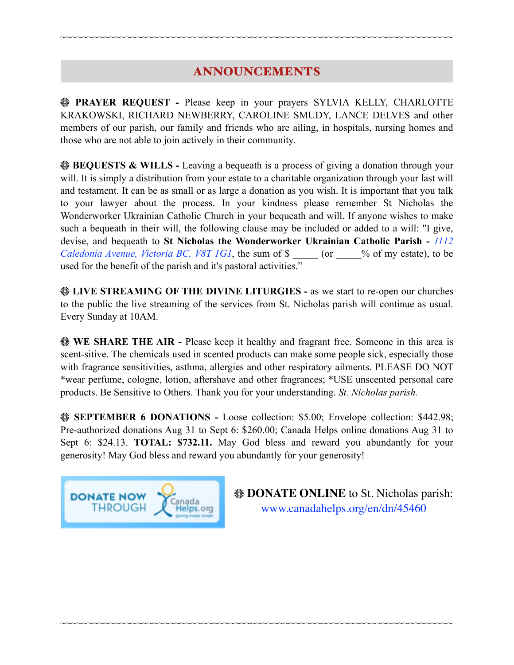## ANNOUNCEMENTS

~~~~~~~~~~~~~~~~~~~~~~~~~~~~~~~~~~~~~~~~~~~~~~~~~~~~~~~~~~~~~~~~~~~~~~~~

**PRAYER REQUEST -** Please keep in your prayers SYLVIA KELLY, CHARLOTTE KRAKOWSKI, RICHARD NEWBERRY, CAROLINE SMUDY, LANCE DELVES and other members of our parish, our family and friends who are ailing, in hospitals, nursing homes and those who are not able to join actively in their community.

**BEQUESTS & WILLS -** Leaving a bequeath is a process of giving a donation through your will. It is simply a distribution from your estate to a charitable organization through your last will and testament. It can be as small or as large a donation as you wish. It is important that you talk to your lawyer about the process. In your kindness please remember St Nicholas the Wonderworker Ukrainian Catholic Church in your bequeath and will. If anyone wishes to make such a bequeath in their will, the following clause may be included or added to a will: "I give, devise, and bequeath to **St Nicholas the Wonderworker Ukrainian Catholic Parish -** *1112 Caledonia Avenue, Victoria BC, V8T 1G1*, the sum of \$  $\degree$  (or  $\degree$  % of my estate), to be used for the benefit of the parish and it's pastoral activities."

**EXAMING OF THE DIVINE LITURGIES -** as we start to re-open our churches to the public the live streaming of the services from St. Nicholas parish will continue as usual. Every Sunday at 10AM.

**WE SHARE THE AIR - Please keep it healthy and fragrant free. Someone in this area is** scent-sitive. The chemicals used in scented products can make some people sick, especially those with fragrance sensitivities, asthma, allergies and other respiratory ailments. PLEASE DO NOT \*wear perfume, cologne, lotion, aftershave and other fragrances; \*USE unscented personal care products. Be Sensitive to Others. Thank you for your understanding. *St. Nicholas parish.* 

**SEPTEMBER 6 DONATIONS -** Loose collection: \$5.00; Envelope collection: \$442.98; Pre-authorized donations Aug 31 to Sept 6: \$260.00; Canada Helps online donations Aug 31 to Sept 6: \$24.13. **TOTAL: \$732.11.** May God bless and reward you abundantly for your generosity! May God bless and reward you abundantly for your generosity!

~~~~~~~~~~~~~~~~~~~~~~~~~~~~~~~~~~~~~~~~~~~~~~~~~~~~~~~~~~~~~~~~~~~~~~~~



**EXAMPLE ONLINE** to St. Nicholas parish: [www.canadahelps.org/en/dn/45460](http://www.canadahelps.org/en/dn/45460)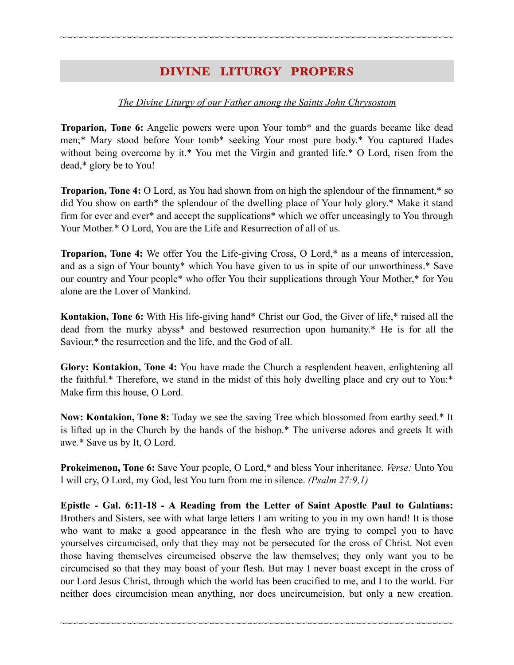### DIVINE LITURGY PROPERS

~~~~~~~~~~~~~~~~~~~~~~~~~~~~~~~~~~~~~~~~~~~~~~~~~~~~~~~~~~~~~~~~~~~~~~~~

### *The Divine Liturgy of our Father among the Saints John Chrysostom*

**Troparion, Tone 6:** Angelic powers were upon Your tomb\* and the guards became like dead men;\* Mary stood before Your tomb\* seeking Your most pure body.\* You captured Hades without being overcome by it.\* You met the Virgin and granted life.\* O Lord, risen from the dead,\* glory be to You!

**Troparion, Tone 4:** O Lord, as You had shown from on high the splendour of the firmament,\* so did You show on earth\* the splendour of the dwelling place of Your holy glory.\* Make it stand firm for ever and ever\* and accept the supplications\* which we offer unceasingly to You through Your Mother.\* O Lord, You are the Life and Resurrection of all of us.

**Troparion, Tone 4:** We offer You the Life-giving Cross, O Lord,\* as a means of intercession, and as a sign of Your bounty\* which You have given to us in spite of our unworthiness.\* Save our country and Your people\* who offer You their supplications through Your Mother,\* for You alone are the Lover of Mankind.

**Kontakion, Tone 6:** With His life-giving hand\* Christ our God, the Giver of life,\* raised all the dead from the murky abyss\* and bestowed resurrection upon humanity.\* He is for all the Saviour,\* the resurrection and the life, and the God of all.

**Glory: Kontakion, Tone 4:** You have made the Church a resplendent heaven, enlightening all the faithful.\* Therefore, we stand in the midst of this holy dwelling place and cry out to You:\* Make firm this house, O Lord.

**Now: Kontakion, Tone 8:** Today we see the saving Tree which blossomed from earthy seed.\* It is lifted up in the Church by the hands of the bishop.\* The universe adores and greets It with awe.\* Save us by It, O Lord.

**Prokeimenon, Tone 6:** Save Your people, O Lord,\* and bless Your inheritance. *Verse:* Unto You I will cry, O Lord, my God, lest You turn from me in silence. *(Psalm 27:9,1)*

**Epistle - Gal. 6:11-18 - A Reading from the Letter of Saint Apostle Paul to Galatians:** Brothers and Sisters, see with what large letters I am writing to you in my own hand! It is those who want to make a good appearance in the flesh who are trying to compel you to have yourselves circumcised, only that they may not be persecuted for the cross of Christ. Not even those having themselves circumcised observe the law themselves; they only want you to be circumcised so that they may boast of your flesh. But may I never boast except in the cross of our Lord Jesus Christ, through which the world has been crucified to me, and I to the world. For neither does circumcision mean anything, nor does uncircumcision, but only a new creation.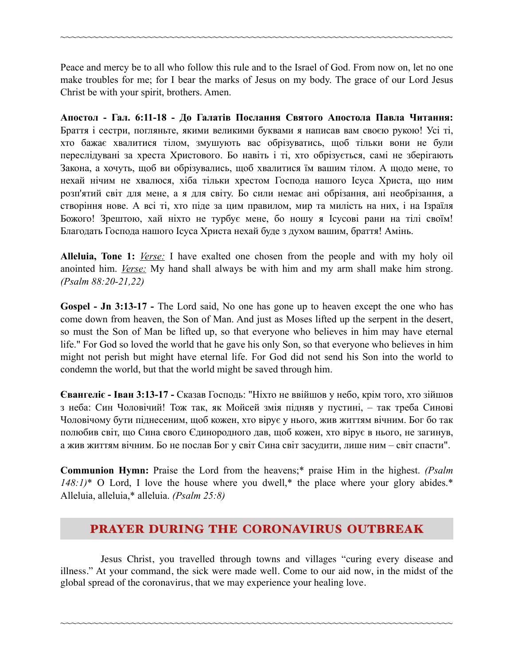Peace and mercy be to all who follow this rule and to the Israel of God. From now on, let no one make troubles for me; for I bear the marks of Jesus on my body. The grace of our Lord Jesus Christ be with your spirit, brothers. Amen.

~~~~~~~~~~~~~~~~~~~~~~~~~~~~~~~~~~~~~~~~~~~~~~~~~~~~~~~~~~~~~~~~~~~~~~~~

**Апостол - Гал. 6:11-18 - До Галатів Послання Святого Апостола Павла Читання:** Браття і сестри, погляньте, якими великими буквами я написав вам своєю рукою! Усі ті, хто бажає хвалитися тілом, змушують вас обрізуватись, щоб тільки вони не були переслідувані за хреста Христового. Бо навіть і ті, хто обрізується, самі не зберігають Закона, а хочуть, щоб ви обрізувались, щоб хвалитися їм вашим тілом. А щодо мене, то нехай нічим не хвалюся, хіба тільки хрестом Господа нашого Ісуса Христа, що ним розп'ятий світ для мене, а я для світу. Бо сили немає ані обрізання, ані необрізання, а створіння нове. А всі ті, хто піде за цим правилом, мир та милість на них, і на Ізраїля Божого! Зрештою, хай ніхто не турбує мене, бо ношу я Ісусові рани на тілі своїм! Благодать Господа нашого Ісуса Христа нехай буде з духом вашим, браття! Амінь.

**Alleluia, Tone 1:** *Verse:* I have exalted one chosen from the people and with my holy oil anointed him. *Verse:* My hand shall always be with him and my arm shall make him strong. *(Psalm 88:20-21,22)*

**Gospel - Jn 3:13-17 -** The Lord said, No one has gone up to heaven except the one who has come down from heaven, the Son of Man. And just as Moses lifted up the serpent in the desert, so must the Son of Man be lifted up, so that everyone who believes in him may have eternal life." For God so loved the world that he gave his only Son, so that everyone who believes in him might not perish but might have eternal life. For God did not send his Son into the world to condemn the world, but that the world might be saved through him.

**Євангеліє - Іван 3:13-17 -** Сказав Господь: "Ніхто не ввійшов у небо, крім того, хто зійшов з неба: Син Чоловічий! Тож так, як Мойсей змія підняв у пустині, – так треба Синові Чоловічому бути піднесеним, щоб кожен, хто вірує у нього, жив життям вічним. Бог бо так полюбив світ, що Сина свого Єдинородного дав, щоб кожен, хто вірує в нього, не загинув, а жив життям вічним. Бо не послав Бог у світ Сина світ засудити, лише ним – світ спасти".

**Communion Hymn:** Praise the Lord from the heavens;\* praise Him in the highest. *(Psalm 148:1)*\* O Lord, I love the house where you dwell,\* the place where your glory abides.\* Alleluia, alleluia,\* alleluia. *(Psalm 25:8)*

### PRAYER DURING THE CORONAVIRUS OUTBREAK

Jesus Christ, you travelled through towns and villages "curing every disease and illness." At your command, the sick were made well. Come to our aid now, in the midst of the global spread of the coronavirus, that we may experience your healing love.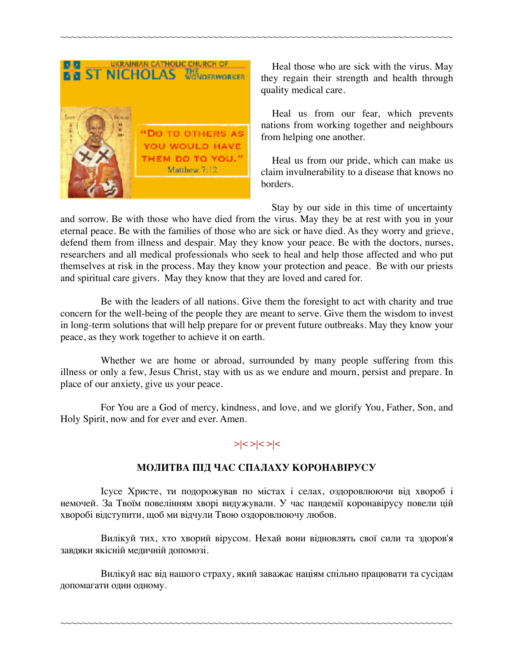

Heal those who are sick with the virus. May they regain their strength and health through quality medical care.

Heal us from our fear, which prevents nations from working together and neighbours from helping one another.

Heal us from our pride, which can make us claim invulnerability to a disease that knows no borders.

Stay by our side in this time of uncertainty and sorrow. Be with those who have died from the virus. May they be at rest with you in your eternal peace. Be with the families of those who are sick or have died. As they worry and grieve, defend them from illness and despair. May they know your peace. Be with the doctors, nurses, researchers and all medical professionals who seek to heal and help those affected and who put themselves at risk in the process. May they know your protection and peace. Be with our priests and spiritual care givers. May they know that they are loved and cared for.

~~~~~~~~~~~~~~~~~~~~~~~~~~~~~~~~~~~~~~~~~~~~~~~~~~~~~~~~~~~~~~~~~~~~~~~~

Be with the leaders of all nations. Give them the foresight to act with charity and true concern for the well-being of the people they are meant to serve. Give them the wisdom to invest in long-term solutions that will help prepare for or prevent future outbreaks. May they know your peace, as they work together to achieve it on earth.

Whether we are home or abroad, surrounded by many people suffering from this illness or only a few, Jesus Christ, stay with us as we endure and mourn, persist and prepare. In place of our anxiety, give us your peace.

For You are a God of mercy, kindness, and love, and we glorify You, Father, Son, and Holy Spirit, now and for ever and ever. Amen.

### **>|< >|< >|<**

#### **МОЛИТВА ПІД ЧАС СПАЛАХУ КОРОНАВІРУСУ**

Ісусе Христе, ти подорожував по містах і селах, оздоровлюючи від хвороб і немочей. За Твоїм повелінням хворі видужували. У час пандемії коронавірусу повели цій хворобі відступити, щоб ми відчули Твою оздоровлюючу любов.

Вилікуй тих, хто хворий вірусом. Нехай вони відновлять свої сили та здоров'я завдяки якісній медичній допомозі.

Вилікуй нас від нашого страху, який заважає націям спільно працювати та сусідам допомагати один одному.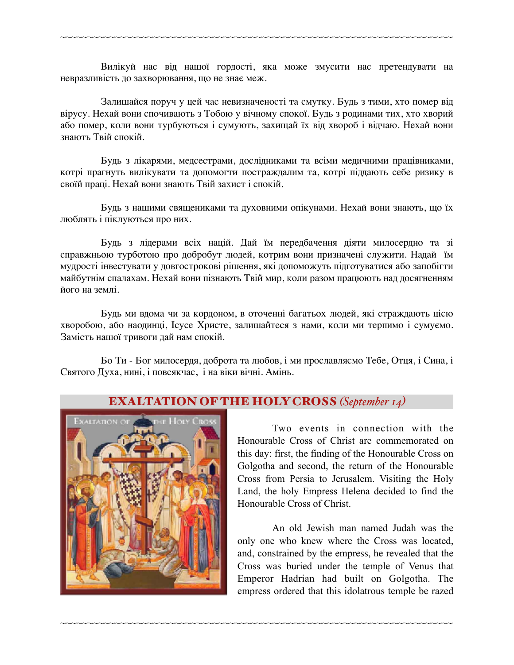Вилікуй нас від нашої гордості, яка може змусити нас претендувати на невразливість до захворювання, що не знає меж.

~~~~~~~~~~~~~~~~~~~~~~~~~~~~~~~~~~~~~~~~~~~~~~~~~~~~~~~~~~~~~~~~~~~~~~~~

Залишайся поруч у цей час невизначеності та смутку. Будь з тими, хто помер від вірусу. Нехай вони спочивають з Тобою у вічному спокої. Будь з родинами тих, хто хворий або помер, коли вони турбуються і сумують, захищай їх від хвороб і відчаю. Нехай вони знають Твій спокій.

Будь з лікарями, медсестрами, дослідниками та всіми медичними працівниками, котрі прагнуть вилікувати та допомогти постраждалим та, котрі піддають себе ризику в своїй праці. Нехай вони знають Твій захист і спокій.

Будь з нашими священиками та духовними опікунами. Нехай вони знають, що їх люблять і піклуються про них.

Будь з лідерами всіх націй. Дай їм передбачення діяти милосердно та зі справжньою турботою про добробут людей, котрим вони призначені служити. Надай їм мудрості інвестувати у довгострокові рішення, які допоможуть підготуватися або запобігти майбутнім спалахам. Нехай вони пізнають Твій мир, коли разом працюють над досягненням його на землі.

Будь ми вдома чи за кордоном, в оточенні багатьох людей, які страждають цією хворобою, або наодинці, Ісусе Христе, залишайтеся з нами, коли ми терпимо і сумуємо. Замість нашої тривоги дай нам спокій.

Бо Ти - Бог милосердя, доброта та любов, і ми прославляємо Тебе, Отця, і Сина, і Святого Духа, нині, і повсякчас, і на віки вічні. Амінь.



### EXALTATION OF THE HOLY CROSS *(September 14)*

~~~~~~~~~~~~~~~~~~~~~~~~~~~~~~~~~~~~~~~~~~~~~~~~~~~~~~~~~~~~~~~~~~~~~~~~

 Two events in connection with the Honourable Cross of Christ are commemorated on this day: first, the finding of the Honourable Cross on Golgotha and second, the return of the Honourable Cross from Persia to Jerusalem. Visiting the Holy Land, the holy Empress Helena decided to find the Honourable Cross of Christ.

An old Jewish man named Judah was the only one who knew where the Cross was located, and, constrained by the empress, he revealed that the Cross was buried under the temple of Venus that Emperor Hadrian had built on Golgotha. The empress ordered that this idolatrous temple be razed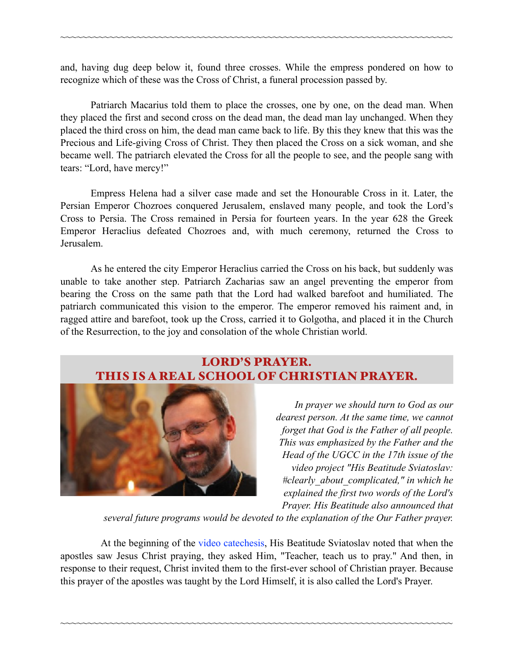and, having dug deep below it, found three crosses. While the empress pondered on how to recognize which of these was the Cross of Christ, a funeral procession passed by.

~~~~~~~~~~~~~~~~~~~~~~~~~~~~~~~~~~~~~~~~~~~~~~~~~~~~~~~~~~~~~~~~~~~~~~~~

 Patriarch Macarius told them to place the crosses, one by one, on the dead man. When they placed the first and second cross on the dead man, the dead man lay unchanged. When they placed the third cross on him, the dead man came back to life. By this they knew that this was the Precious and Life-giving Cross of Christ. They then placed the Cross on a sick woman, and she became well. The patriarch elevated the Cross for all the people to see, and the people sang with tears: "Lord, have mercy!"

 Empress Helena had a silver case made and set the Honourable Cross in it. Later, the Persian Emperor Chozroes conquered Jerusalem, enslaved many people, and took the Lord's Cross to Persia. The Cross remained in Persia for fourteen years. In the year 628 the Greek Emperor Heraclius defeated Chozroes and, with much ceremony, returned the Cross to Jerusalem.

 As he entered the city Emperor Heraclius carried the Cross on his back, but suddenly was unable to take another step. Patriarch Zacharias saw an angel preventing the emperor from bearing the Cross on the same path that the Lord had walked barefoot and humiliated. The patriarch communicated this vision to the emperor. The emperor removed his raiment and, in ragged attire and barefoot, took up the Cross, carried it to Golgotha, and placed it in the Church of the Resurrection, to the joy and consolation of the whole Christian world.

### LORD'S PRAYER. THIS IS A REAL SCHOOL OF CHRISTIAN PRAYER.



*In prayer we should turn to God as our dearest person. At the same time, we cannot forget that God is the Father of all people. This was emphasized by the Father and the Head of the UGCC in the 17th issue of the video project "His Beatitude Sviatoslav: #clearly\_about\_complicated," in which he explained the first two words of the Lord's Prayer. His Beatitude also announced that* 

*several future programs would be devoted to the explanation of the Our Father prayer.* 

At the beginning of the [video catechesis](http://news.ugcc.ua/articles/gospodnya_molitva_shcho_oznachaie_nashe_zvernennya_do_boga_otche_nash_90731.html), His Beatitude Sviatoslav noted that when the apostles saw Jesus Christ praying, they asked Him, "Teacher, teach us to pray." And then, in response to their request, Christ invited them to the first-ever school of Christian prayer. Because this prayer of the apostles was taught by the Lord Himself, it is also called the Lord's Prayer.